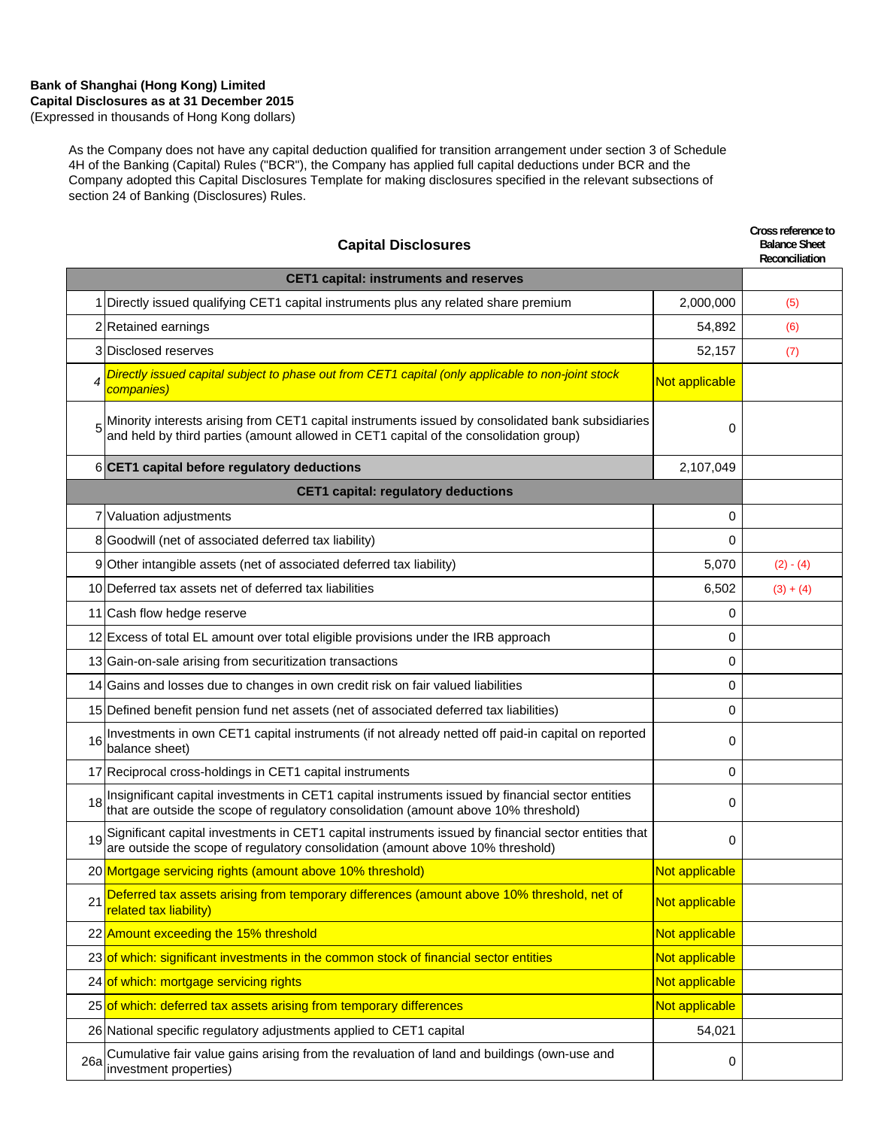### **Bank of Shanghai (Hong Kong) Limited Capital Disclosures as at 31 December 2015** (Expressed in thousands of Hong Kong dollars)

As the Company does not have any capital deduction qualified for transition arrangement under section 3 of Schedule 4H of the Banking (Capital) Rules ("BCR"), the Company has applied full capital deductions under BCR and the Company adopted this Capital Disclosures Template for making disclosures specified in the relevant subsections of section 24 of Banking (Disclosures) Rules.

| <b>Capital Disclosures</b> |                                                                                                                                                                                                      |                | Cross reference to<br><b>Balance Sheet</b><br>Reconciliation |
|----------------------------|------------------------------------------------------------------------------------------------------------------------------------------------------------------------------------------------------|----------------|--------------------------------------------------------------|
|                            | <b>CET1 capital: instruments and reserves</b>                                                                                                                                                        |                |                                                              |
|                            | 1 Directly issued qualifying CET1 capital instruments plus any related share premium                                                                                                                 | 2,000,000      | (5)                                                          |
|                            | 2 Retained earnings                                                                                                                                                                                  | 54,892         | (6)                                                          |
|                            | 3 Disclosed reserves                                                                                                                                                                                 | 52,157         | (7)                                                          |
|                            | Directly issued capital subject to phase out from CET1 capital (only applicable to non-joint stock<br>companies)                                                                                     | Not applicable |                                                              |
|                            | $5\text{  }$ Minority interests arising from CET1 capital instruments issued by consolidated bank subsidiaries and held by third parties (amount allowed in CET1 capital of the consolidation group) | 0              |                                                              |
|                            | 6 CET1 capital before regulatory deductions                                                                                                                                                          | 2,107,049      |                                                              |
|                            | <b>CET1 capital: regulatory deductions</b>                                                                                                                                                           |                |                                                              |
|                            | 7 Valuation adjustments                                                                                                                                                                              | 0              |                                                              |
|                            | 8 Goodwill (net of associated deferred tax liability)                                                                                                                                                | 0              |                                                              |
|                            | 9 Other intangible assets (net of associated deferred tax liability)                                                                                                                                 | 5,070          | $(2) - (4)$                                                  |
|                            | 10 Deferred tax assets net of deferred tax liabilities                                                                                                                                               | 6,502          | $(3) + (4)$                                                  |
|                            | 11 Cash flow hedge reserve                                                                                                                                                                           | 0              |                                                              |
|                            | 12 Excess of total EL amount over total eligible provisions under the IRB approach                                                                                                                   | 0              |                                                              |
|                            | 13 Gain-on-sale arising from securitization transactions                                                                                                                                             | 0              |                                                              |
|                            | 14 Gains and losses due to changes in own credit risk on fair valued liabilities                                                                                                                     | 0              |                                                              |
|                            | 15 Defined benefit pension fund net assets (net of associated deferred tax liabilities)                                                                                                              | 0              |                                                              |
| 16                         | Investments in own CET1 capital instruments (if not already netted off paid-in capital on reported<br>balance sheet)                                                                                 | 0              |                                                              |
|                            | 17 Reciprocal cross-holdings in CET1 capital instruments                                                                                                                                             | 0              |                                                              |
| 18                         | Insignificant capital investments in CET1 capital instruments issued by financial sector entities<br>that are outside the scope of regulatory consolidation (amount above 10% threshold)             | 0              |                                                              |
| 19                         | Significant capital investments in CET1 capital instruments issued by financial sector entities that are outside the scope of regulatory consolidation (amount above 10% threshold)                  | 0              |                                                              |
|                            | 20 Mortgage servicing rights (amount above 10% threshold)                                                                                                                                            | Not applicable |                                                              |
| 21                         | Deferred tax assets arising from temporary differences (amount above 10% threshold, net of<br>related tax liability)                                                                                 | Not applicable |                                                              |
|                            | 22 Amount exceeding the 15% threshold                                                                                                                                                                | Not applicable |                                                              |
|                            | 23 of which: significant investments in the common stock of financial sector entities                                                                                                                | Not applicable |                                                              |
|                            | 24 of which: mortgage servicing rights                                                                                                                                                               | Not applicable |                                                              |
|                            | 25 of which: deferred tax assets arising from temporary differences                                                                                                                                  | Not applicable |                                                              |
|                            | 26 National specific regulatory adjustments applied to CET1 capital                                                                                                                                  | 54,021         |                                                              |
| 26a                        | Cumulative fair value gains arising from the revaluation of land and buildings (own-use and<br>investment properties)                                                                                | 0              |                                                              |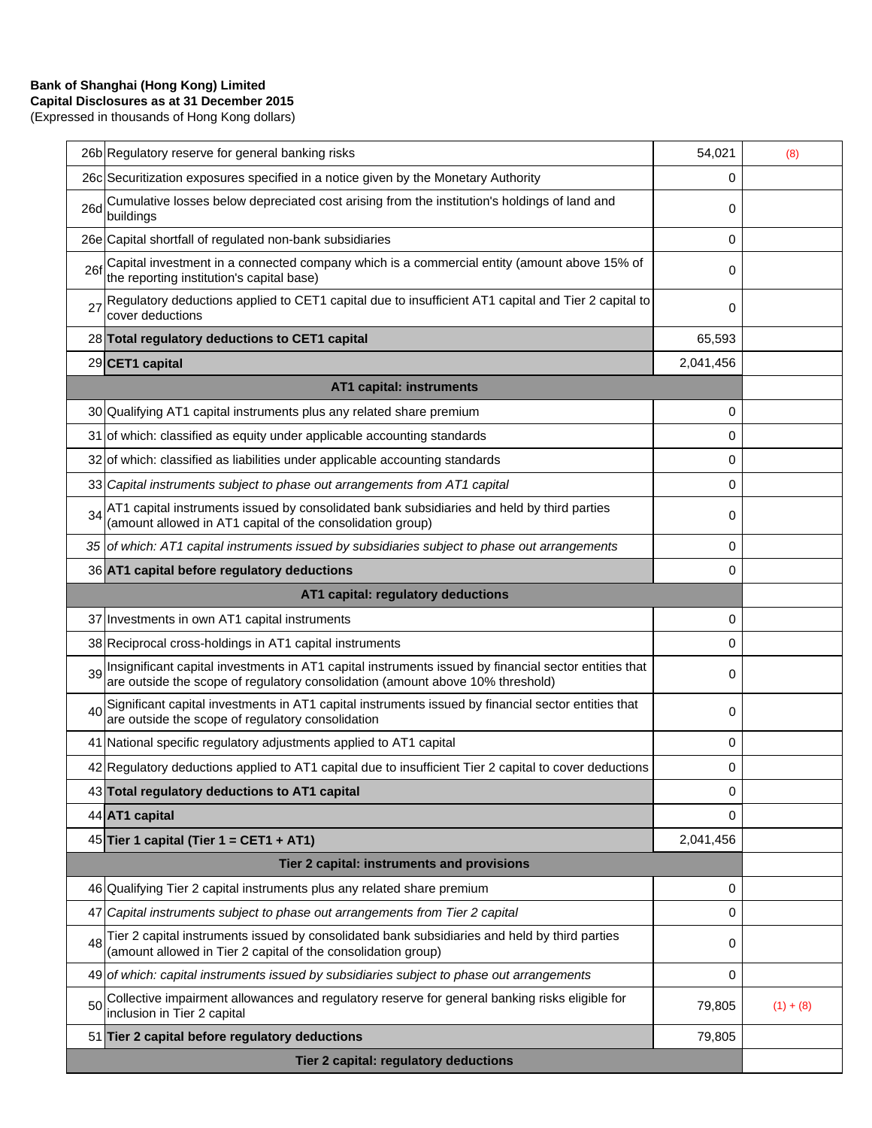# **Bank of Shanghai (Hong Kong) Limited**

**Capital Disclosures as at 31 December 2015** (Expressed in thousands of Hong Kong dollars)

| Tier 2 capital: regulatory deductions |                                                                                                                                                                                         |           |             |
|---------------------------------------|-----------------------------------------------------------------------------------------------------------------------------------------------------------------------------------------|-----------|-------------|
|                                       | 51 Tier 2 capital before regulatory deductions                                                                                                                                          | 79,805    |             |
| 50                                    | Collective impairment allowances and regulatory reserve for general banking risks eligible for<br>inclusion in Tier 2 capital                                                           | 79,805    | $(1) + (8)$ |
|                                       | 49 of which: capital instruments issued by subsidiaries subject to phase out arrangements                                                                                               | 0         |             |
| 48                                    | Tier 2 capital instruments issued by consolidated bank subsidiaries and held by third parties<br>(amount allowed in Tier 2 capital of the consolidation group)                          | 0         |             |
|                                       | 47 Capital instruments subject to phase out arrangements from Tier 2 capital                                                                                                            | 0         |             |
|                                       | 46 Qualifying Tier 2 capital instruments plus any related share premium                                                                                                                 | 0         |             |
|                                       | Tier 2 capital: instruments and provisions                                                                                                                                              |           |             |
|                                       | 45 Tier 1 capital (Tier 1 = CET1 + AT1)                                                                                                                                                 | 2,041,456 |             |
|                                       | 44 AT1 capital                                                                                                                                                                          | $\Omega$  |             |
|                                       | 43 Total regulatory deductions to AT1 capital                                                                                                                                           | 0         |             |
|                                       | 42 Regulatory deductions applied to AT1 capital due to insufficient Tier 2 capital to cover deductions                                                                                  | 0         |             |
|                                       | 41 National specific regulatory adjustments applied to AT1 capital                                                                                                                      | 0         |             |
| 40                                    | Significant capital investments in AT1 capital instruments issued by financial sector entities that<br>are outside the scope of regulatory consolidation                                | 0         |             |
| 39                                    | Insignificant capital investments in AT1 capital instruments issued by financial sector entities that<br>are outside the scope of regulatory consolidation (amount above 10% threshold) | 0         |             |
|                                       | 38 Reciprocal cross-holdings in AT1 capital instruments                                                                                                                                 | 0         |             |
|                                       | 37 Investments in own AT1 capital instruments                                                                                                                                           | 0         |             |
| AT1 capital: regulatory deductions    |                                                                                                                                                                                         |           |             |
|                                       | 36 AT1 capital before regulatory deductions                                                                                                                                             | 0         |             |
|                                       | (amount allowed in AT1 capital of the consolidation group)<br>35 of which: AT1 capital instruments issued by subsidiaries subject to phase out arrangements                             | 0         |             |
| 34                                    | AT1 capital instruments issued by consolidated bank subsidiaries and held by third parties                                                                                              | 0         |             |
|                                       | 33 Capital instruments subject to phase out arrangements from AT1 capital                                                                                                               | 0         |             |
|                                       | 32 of which: classified as liabilities under applicable accounting standards                                                                                                            | 0         |             |
|                                       | 30 Qualifying AT1 capital instruments plus any related share premium<br>31 of which: classified as equity under applicable accounting standards                                         | 0         |             |
|                                       | AT1 capital: instruments                                                                                                                                                                | 0         |             |
|                                       | 29 CET1 capital                                                                                                                                                                         | 2,041,456 |             |
|                                       | 28 Total regulatory deductions to CET1 capital                                                                                                                                          | 65,593    |             |
| 27                                    | Regulatory deductions applied to CET1 capital due to insufficient AT1 capital and Tier 2 capital to<br>cover deductions                                                                 | 0         |             |
| 26f                                   | Capital investment in a connected company which is a commercial entity (amount above 15% of<br>the reporting institution's capital base)                                                | 0         |             |
|                                       | 26e Capital shortfall of regulated non-bank subsidiaries                                                                                                                                | 0         |             |
| 26d                                   | Cumulative losses below depreciated cost arising from the institution's holdings of land and<br>buildings                                                                               | 0         |             |
|                                       | 26c Securitization exposures specified in a notice given by the Monetary Authority                                                                                                      | 0         |             |
|                                       | 26b Regulatory reserve for general banking risks                                                                                                                                        | 54,021    | (8)         |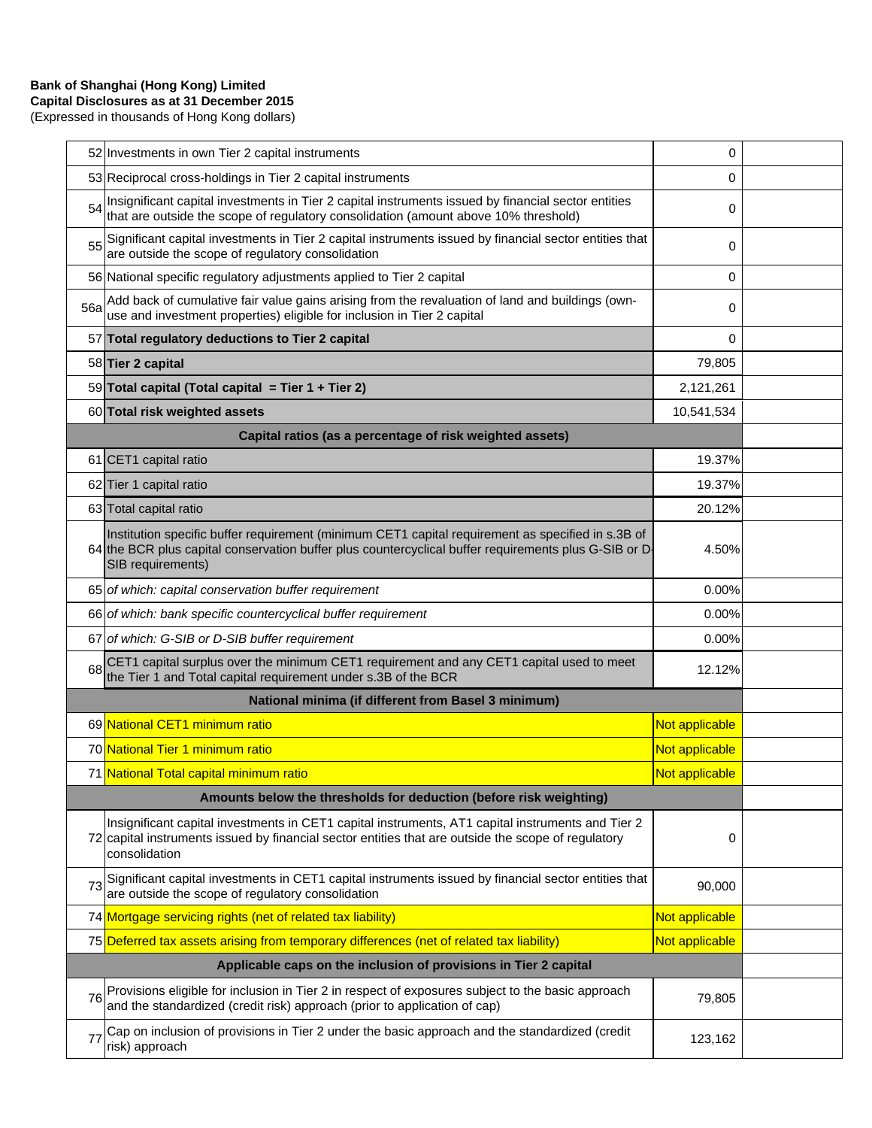# **Bank of Shanghai (Hong Kong) Limited**

**Capital Disclosures as at 31 December 2015** (Expressed in thousands of Hong Kong dollars)

|                                                                    | 52 Investments in own Tier 2 capital instruments                                                                                                                                                                               | 0              |  |
|--------------------------------------------------------------------|--------------------------------------------------------------------------------------------------------------------------------------------------------------------------------------------------------------------------------|----------------|--|
|                                                                    | 53 Reciprocal cross-holdings in Tier 2 capital instruments                                                                                                                                                                     | 0              |  |
| 54                                                                 | Insignificant capital investments in Tier 2 capital instruments issued by financial sector entities<br>that are outside the scope of regulatory consolidation (amount above 10% threshold)                                     | 0              |  |
| 55                                                                 | Significant capital investments in Tier 2 capital instruments issued by financial sector entities that<br>are outside the scope of regulatory consolidation                                                                    | 0              |  |
|                                                                    | 56 National specific regulatory adjustments applied to Tier 2 capital                                                                                                                                                          | $\mathbf 0$    |  |
| 56a                                                                | Add back of cumulative fair value gains arising from the revaluation of land and buildings (own-<br>use and investment properties) eligible for inclusion in Tier 2 capital                                                    | 0              |  |
|                                                                    | 57 Total regulatory deductions to Tier 2 capital                                                                                                                                                                               | $\Omega$       |  |
|                                                                    | 58 Tier 2 capital                                                                                                                                                                                                              | 79,805         |  |
|                                                                    | 59 Total capital (Total capital = Tier 1 + Tier 2)                                                                                                                                                                             | 2,121,261      |  |
|                                                                    | 60 Total risk weighted assets                                                                                                                                                                                                  | 10,541,534     |  |
|                                                                    | Capital ratios (as a percentage of risk weighted assets)                                                                                                                                                                       |                |  |
|                                                                    | 61 CET1 capital ratio                                                                                                                                                                                                          | 19.37%         |  |
|                                                                    | 62 Tier 1 capital ratio                                                                                                                                                                                                        | 19.37%         |  |
|                                                                    | 63 Total capital ratio                                                                                                                                                                                                         | 20.12%         |  |
|                                                                    | Institution specific buffer requirement (minimum CET1 capital requirement as specified in s.3B of<br>64 the BCR plus capital conservation buffer plus countercyclical buffer requirements plus G-SIB or D<br>SIB requirements) | 4.50%          |  |
|                                                                    | 65 of which: capital conservation buffer requirement                                                                                                                                                                           | 0.00%          |  |
|                                                                    | 66 of which: bank specific countercyclical buffer requirement                                                                                                                                                                  | 0.00%          |  |
|                                                                    | 67 of which: G-SIB or D-SIB buffer requirement                                                                                                                                                                                 | 0.00%          |  |
| 68                                                                 | CET1 capital surplus over the minimum CET1 requirement and any CET1 capital used to meet<br>the Tier 1 and Total capital requirement under s.3B of the BCR                                                                     | 12.12%         |  |
|                                                                    | National minima (if different from Basel 3 minimum)                                                                                                                                                                            |                |  |
|                                                                    | 69 National CET1 minimum ratio                                                                                                                                                                                                 | Not applicable |  |
|                                                                    | 70 National Tier 1 minimum ratio                                                                                                                                                                                               | Not applicable |  |
|                                                                    | 71 National Total capital minimum ratio                                                                                                                                                                                        | Not applicable |  |
| Amounts below the thresholds for deduction (before risk weighting) |                                                                                                                                                                                                                                |                |  |
|                                                                    | Insignificant capital investments in CET1 capital instruments, AT1 capital instruments and Tier 2<br>72 capital instruments issued by financial sector entities that are outside the scope of regulatory<br>consolidation      | 0              |  |
| 73                                                                 | Significant capital investments in CET1 capital instruments issued by financial sector entities that<br>are outside the scope of regulatory consolidation                                                                      | 90,000         |  |
|                                                                    | 74 Mortgage servicing rights (net of related tax liability)                                                                                                                                                                    | Not applicable |  |
|                                                                    | 75 Deferred tax assets arising from temporary differences (net of related tax liability)                                                                                                                                       | Not applicable |  |
|                                                                    | Applicable caps on the inclusion of provisions in Tier 2 capital                                                                                                                                                               |                |  |
| 76                                                                 | Provisions eligible for inclusion in Tier 2 in respect of exposures subject to the basic approach<br>and the standardized (credit risk) approach (prior to application of cap)                                                 | 79,805         |  |
| 77                                                                 | Cap on inclusion of provisions in Tier 2 under the basic approach and the standardized (credit<br>risk) approach                                                                                                               | 123,162        |  |
|                                                                    |                                                                                                                                                                                                                                |                |  |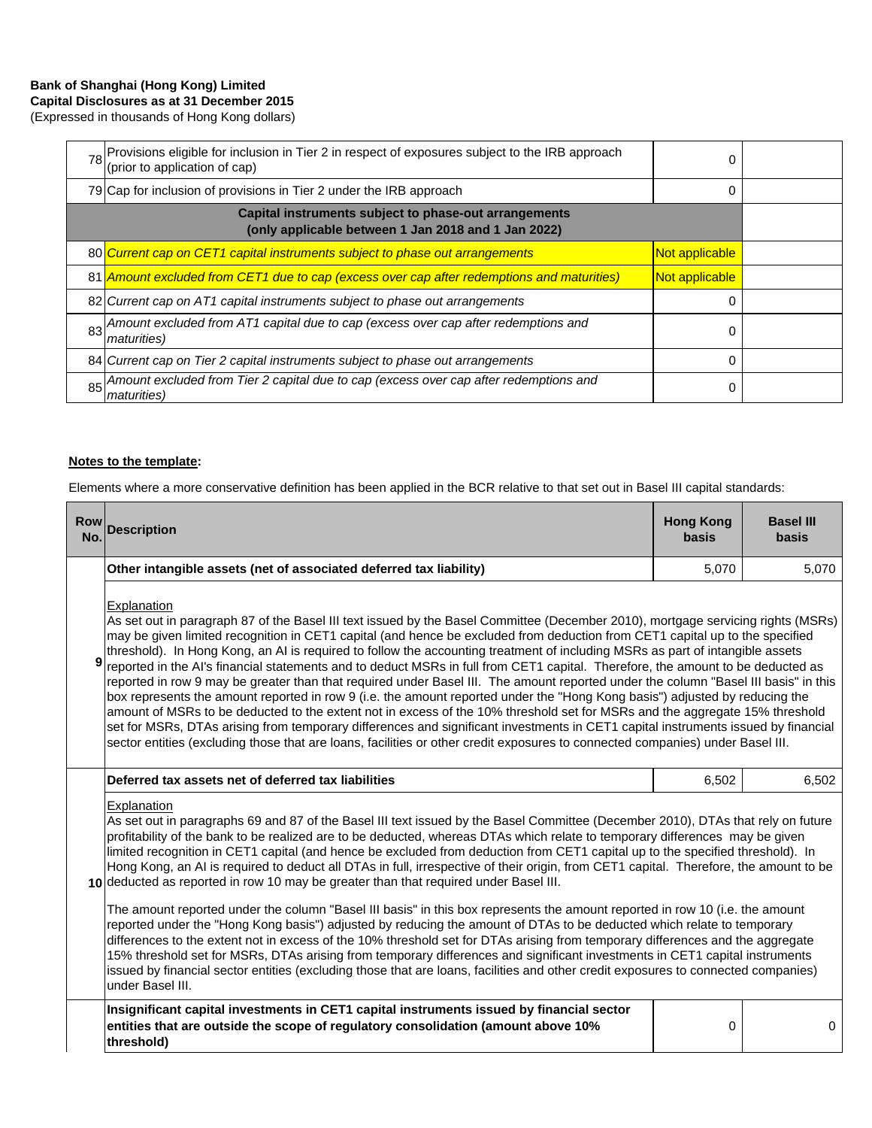## **Bank of Shanghai (Hong Kong) Limited Capital Disclosures as at 31 December 2015**

(Expressed in thousands of Hong Kong dollars)

|                                                                                                              | 78 Provisions eligible for inclusion in Tier 2 in respect of exposures subject to the IRB approach<br>(prior to application of cap) | 0              |  |
|--------------------------------------------------------------------------------------------------------------|-------------------------------------------------------------------------------------------------------------------------------------|----------------|--|
|                                                                                                              | 79 Cap for inclusion of provisions in Tier 2 under the IRB approach                                                                 | 0              |  |
| Capital instruments subject to phase-out arrangements<br>(only applicable between 1 Jan 2018 and 1 Jan 2022) |                                                                                                                                     |                |  |
|                                                                                                              | 80 Current cap on CET1 capital instruments subject to phase out arrangements                                                        | Not applicable |  |
|                                                                                                              | 81 Amount excluded from CET1 due to cap (excess over cap after redemptions and maturities)                                          | Not applicable |  |
|                                                                                                              | 82 Current cap on AT1 capital instruments subject to phase out arrangements                                                         | 0              |  |
|                                                                                                              | 83 Amount excluded from AT1 capital due to cap (excess over cap after redemptions and<br><i>maturities</i> )                        | 0              |  |
|                                                                                                              | 84 Current cap on Tier 2 capital instruments subject to phase out arrangements                                                      | 0              |  |
|                                                                                                              | 85 Amount excluded from Tier 2 capital due to cap (excess over cap after redemptions and<br><i>maturities</i> )                     | 0              |  |

#### **Notes to the template:**

Elements where a more conservative definition has been applied in the BCR relative to that set out in Basel III capital standards:

| <b>Row</b><br>No. | <b>Description</b>                                                                                                                                                                                                                                                                                                                                                                                                                                                                                                                                                                                                                                                                                                                                                                                                                                                                                                                                                                                                                                                                                                                                                                                                                     | <b>Hong Kong</b><br><b>basis</b> | <b>Basel III</b><br><b>basis</b> |  |
|-------------------|----------------------------------------------------------------------------------------------------------------------------------------------------------------------------------------------------------------------------------------------------------------------------------------------------------------------------------------------------------------------------------------------------------------------------------------------------------------------------------------------------------------------------------------------------------------------------------------------------------------------------------------------------------------------------------------------------------------------------------------------------------------------------------------------------------------------------------------------------------------------------------------------------------------------------------------------------------------------------------------------------------------------------------------------------------------------------------------------------------------------------------------------------------------------------------------------------------------------------------------|----------------------------------|----------------------------------|--|
|                   | Other intangible assets (net of associated deferred tax liability)                                                                                                                                                                                                                                                                                                                                                                                                                                                                                                                                                                                                                                                                                                                                                                                                                                                                                                                                                                                                                                                                                                                                                                     | 5,070                            | 5,070                            |  |
| 9                 | <b>Explanation</b><br>As set out in paragraph 87 of the Basel III text issued by the Basel Committee (December 2010), mortgage servicing rights (MSRs)<br>may be given limited recognition in CET1 capital (and hence be excluded from deduction from CET1 capital up to the specified<br>threshold). In Hong Kong, an AI is required to follow the accounting treatment of including MSRs as part of intangible assets<br>reported in the AI's financial statements and to deduct MSRs in full from CET1 capital. Therefore, the amount to be deducted as<br>reported in row 9 may be greater than that required under Basel III. The amount reported under the column "Basel III basis" in this<br>box represents the amount reported in row 9 (i.e. the amount reported under the "Hong Kong basis") adjusted by reducing the<br>amount of MSRs to be deducted to the extent not in excess of the 10% threshold set for MSRs and the aggregate 15% threshold<br>set for MSRs, DTAs arising from temporary differences and significant investments in CET1 capital instruments issued by financial<br>sector entities (excluding those that are loans, facilities or other credit exposures to connected companies) under Basel III. |                                  |                                  |  |
|                   | Deferred tax assets net of deferred tax liabilities                                                                                                                                                                                                                                                                                                                                                                                                                                                                                                                                                                                                                                                                                                                                                                                                                                                                                                                                                                                                                                                                                                                                                                                    | 6,502                            | 6,502                            |  |
|                   | Explanation<br>As set out in paragraphs 69 and 87 of the Basel III text issued by the Basel Committee (December 2010), DTAs that rely on future<br>profitability of the bank to be realized are to be deducted, whereas DTAs which relate to temporary differences may be given<br>limited recognition in CET1 capital (and hence be excluded from deduction from CET1 capital up to the specified threshold). In<br>Hong Kong, an AI is required to deduct all DTAs in full, irrespective of their origin, from CET1 capital. Therefore, the amount to be<br>10 deducted as reported in row 10 may be greater than that required under Basel III.                                                                                                                                                                                                                                                                                                                                                                                                                                                                                                                                                                                     |                                  |                                  |  |
|                   | The amount reported under the column "Basel III basis" in this box represents the amount reported in row 10 (i.e. the amount<br>reported under the "Hong Kong basis") adjusted by reducing the amount of DTAs to be deducted which relate to temporary<br>differences to the extent not in excess of the 10% threshold set for DTAs arising from temporary differences and the aggregate<br>15% threshold set for MSRs, DTAs arising from temporary differences and significant investments in CET1 capital instruments<br>issued by financial sector entities (excluding those that are loans, facilities and other credit exposures to connected companies)<br>under Basel III.                                                                                                                                                                                                                                                                                                                                                                                                                                                                                                                                                      |                                  |                                  |  |
|                   | Insignificant capital investments in CET1 capital instruments issued by financial sector<br>entities that are outside the scope of regulatory consolidation (amount above 10%<br>threshold)                                                                                                                                                                                                                                                                                                                                                                                                                                                                                                                                                                                                                                                                                                                                                                                                                                                                                                                                                                                                                                            | 0                                | 0                                |  |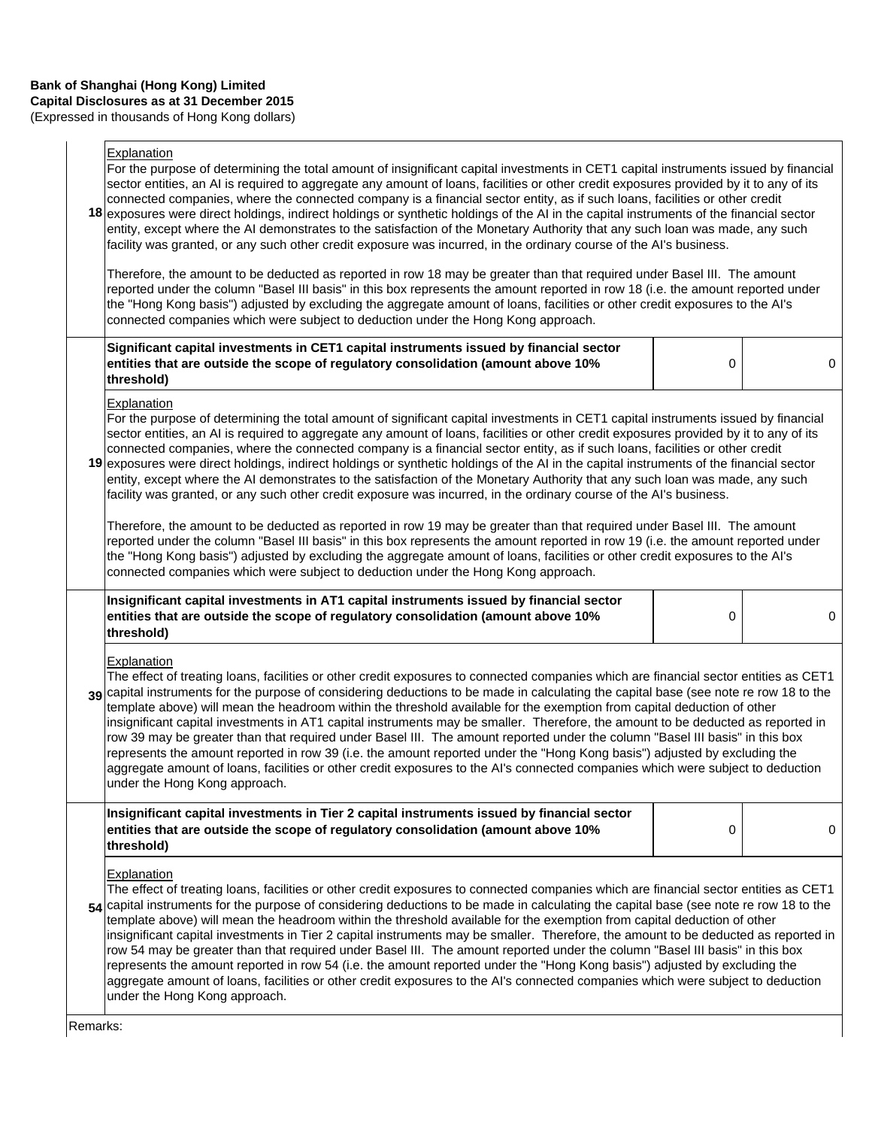(Expressed in thousands of Hong Kong dollars)

## **Explanation**

|          | - Apianauvni<br>For the purpose of determining the total amount of insignificant capital investments in CET1 capital instruments issued by financial<br>sector entities, an AI is required to aggregate any amount of loans, facilities or other credit exposures provided by it to any of its<br>connected companies, where the connected company is a financial sector entity, as if such loans, facilities or other credit<br>18 exposures were direct holdings, indirect holdings or synthetic holdings of the AI in the capital instruments of the financial sector<br>entity, except where the AI demonstrates to the satisfaction of the Monetary Authority that any such loan was made, any such<br>facility was granted, or any such other credit exposure was incurred, in the ordinary course of the Al's business.<br>Therefore, the amount to be deducted as reported in row 18 may be greater than that required under Basel III. The amount                                               |   |   |  |
|----------|----------------------------------------------------------------------------------------------------------------------------------------------------------------------------------------------------------------------------------------------------------------------------------------------------------------------------------------------------------------------------------------------------------------------------------------------------------------------------------------------------------------------------------------------------------------------------------------------------------------------------------------------------------------------------------------------------------------------------------------------------------------------------------------------------------------------------------------------------------------------------------------------------------------------------------------------------------------------------------------------------------|---|---|--|
|          | reported under the column "Basel III basis" in this box represents the amount reported in row 18 (i.e. the amount reported under<br>the "Hong Kong basis") adjusted by excluding the aggregate amount of loans, facilities or other credit exposures to the AI's<br>connected companies which were subject to deduction under the Hong Kong approach.                                                                                                                                                                                                                                                                                                                                                                                                                                                                                                                                                                                                                                                    |   |   |  |
|          | Significant capital investments in CET1 capital instruments issued by financial sector<br>entities that are outside the scope of regulatory consolidation (amount above 10%<br>threshold)                                                                                                                                                                                                                                                                                                                                                                                                                                                                                                                                                                                                                                                                                                                                                                                                                | 0 | 0 |  |
|          | Explanation<br>For the purpose of determining the total amount of significant capital investments in CET1 capital instruments issued by financial<br>sector entities, an AI is required to aggregate any amount of loans, facilities or other credit exposures provided by it to any of its<br>connected companies, where the connected company is a financial sector entity, as if such loans, facilities or other credit<br>19 exposures were direct holdings, indirect holdings or synthetic holdings of the AI in the capital instruments of the financial sector<br>entity, except where the AI demonstrates to the satisfaction of the Monetary Authority that any such loan was made, any such<br>facility was granted, or any such other credit exposure was incurred, in the ordinary course of the Al's business.                                                                                                                                                                              |   |   |  |
|          | Therefore, the amount to be deducted as reported in row 19 may be greater than that required under Basel III. The amount<br>reported under the column "Basel III basis" in this box represents the amount reported in row 19 (i.e. the amount reported under<br>the "Hong Kong basis") adjusted by excluding the aggregate amount of loans, facilities or other credit exposures to the AI's<br>connected companies which were subject to deduction under the Hong Kong approach.                                                                                                                                                                                                                                                                                                                                                                                                                                                                                                                        |   |   |  |
|          | Insignificant capital investments in AT1 capital instruments issued by financial sector<br>entities that are outside the scope of regulatory consolidation (amount above 10%<br>threshold)                                                                                                                                                                                                                                                                                                                                                                                                                                                                                                                                                                                                                                                                                                                                                                                                               | 0 | 0 |  |
|          | Explanation<br>The effect of treating loans, facilities or other credit exposures to connected companies which are financial sector entities as CET1<br>39 capital instruments for the purpose of considering deductions to be made in calculating the capital base (see note re row 18 to the<br>template above) will mean the headroom within the threshold available for the exemption from capital deduction of other<br>insignificant capital investments in AT1 capital instruments may be smaller. Therefore, the amount to be deducted as reported in<br>row 39 may be greater than that required under Basel III. The amount reported under the column "Basel III basis" in this box<br>represents the amount reported in row 39 (i.e. the amount reported under the "Hong Kong basis") adjusted by excluding the<br>aggregate amount of loans, facilities or other credit exposures to the AI's connected companies which were subject to deduction<br>under the Hong Kong approach.           |   |   |  |
|          | Insignificant capital investments in Tier 2 capital instruments issued by financial sector<br>entities that are outside the scope of regulatory consolidation (amount above 10%<br>threshold)                                                                                                                                                                                                                                                                                                                                                                                                                                                                                                                                                                                                                                                                                                                                                                                                            | 0 | 0 |  |
|          | <b>Explanation</b><br>The effect of treating loans, facilities or other credit exposures to connected companies which are financial sector entities as CET1<br>54 capital instruments for the purpose of considering deductions to be made in calculating the capital base (see note re row 18 to the<br>template above) will mean the headroom within the threshold available for the exemption from capital deduction of other<br>insignificant capital investments in Tier 2 capital instruments may be smaller. Therefore, the amount to be deducted as reported in<br>row 54 may be greater than that required under Basel III. The amount reported under the column "Basel III basis" in this box<br>represents the amount reported in row 54 (i.e. the amount reported under the "Hong Kong basis") adjusted by excluding the<br>aggregate amount of loans, facilities or other credit exposures to the AI's connected companies which were subject to deduction<br>under the Hong Kong approach. |   |   |  |
| Remarks: |                                                                                                                                                                                                                                                                                                                                                                                                                                                                                                                                                                                                                                                                                                                                                                                                                                                                                                                                                                                                          |   |   |  |

Remarks: